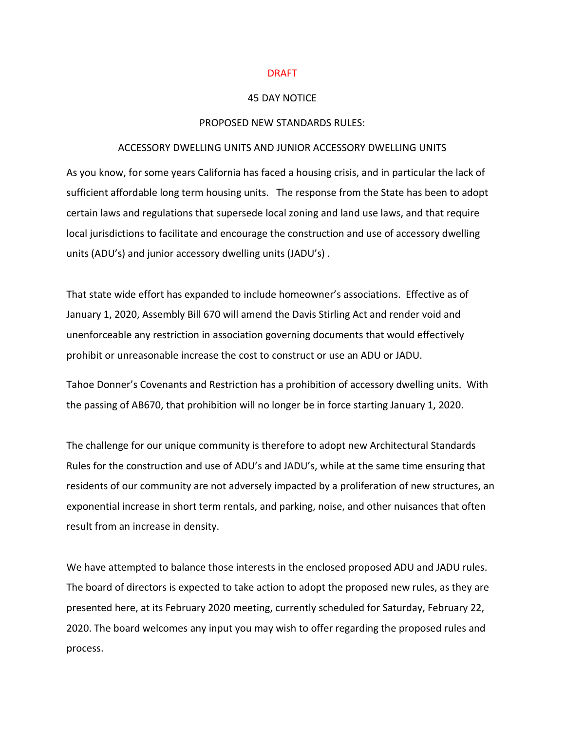#### DRAFT

### 45 DAY NOTICE

### PROPOSED NEW STANDARDS RULES:

### ACCESSORY DWELLING UNITS AND JUNIOR ACCESSORY DWELLING UNITS

As you know, for some years California has faced a housing crisis, and in particular the lack of sufficient affordable long term housing units. The response from the State has been to adopt certain laws and regulations that supersede local zoning and land use laws, and that require local jurisdictions to facilitate and encourage the construction and use of accessory dwelling units (ADU's) and junior accessory dwelling units (JADU's) .

That state wide effort has expanded to include homeowner's associations. Effective as of January 1, 2020, Assembly Bill 670 will amend the Davis Stirling Act and render void and unenforceable any restriction in association governing documents that would effectively prohibit or unreasonable increase the cost to construct or use an ADU or JADU.

Tahoe Donner's Covenants and Restriction has a prohibition of accessory dwelling units. With the passing of AB670, that prohibition will no longer be in force starting January 1, 2020.

The challenge for our unique community is therefore to adopt new Architectural Standards Rules for the construction and use of ADU's and JADU's, while at the same time ensuring that residents of our community are not adversely impacted by a proliferation of new structures, an exponential increase in short term rentals, and parking, noise, and other nuisances that often result from an increase in density.

We have attempted to balance those interests in the enclosed proposed ADU and JADU rules. The board of directors is expected to take action to adopt the proposed new rules, as they are presented here, at its February 2020 meeting, currently scheduled for Saturday, February 22, 2020. The board welcomes any input you may wish to offer regarding the proposed rules and process.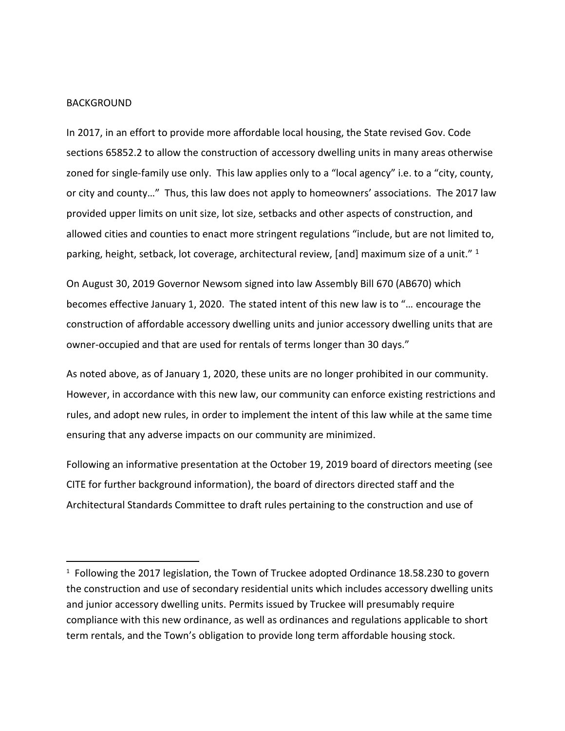## BACKGROUND

 $\overline{\phantom{a}}$ 

In 2017, in an effort to provide more affordable local housing, the State revised Gov. Code sections 65852.2 to allow the construction of accessory dwelling units in many areas otherwise zoned for single-family use only. This law applies only to a "local agency" i.e. to a "city, county, or city and county…" Thus, this law does not apply to homeowners' associations. The 2017 law provided upper limits on unit size, lot size, setbacks and other aspects of construction, and allowed cities and counties to enact more stringent regulations "include, but are not limited to, parking, height, setback, lot coverage, architectural review, [and] maximum size of a unit."  $1$ 

On August 30, 2019 Governor Newsom signed into law Assembly Bill 670 (AB670) which becomes effective January 1, 2020. The stated intent of this new law is to "… encourage the construction of affordable accessory dwelling units and junior accessory dwelling units that are owner-occupied and that are used for rentals of terms longer than 30 days."

As noted above, as of January 1, 2020, these units are no longer prohibited in our community. However, in accordance with this new law, our community can enforce existing restrictions and rules, and adopt new rules, in order to implement the intent of this law while at the same time ensuring that any adverse impacts on our community are minimized.

Following an informative presentation at the October 19, 2019 board of directors meeting (see CITE for further background information), the board of directors directed staff and the Architectural Standards Committee to draft rules pertaining to the construction and use of

<sup>&</sup>lt;sup>1</sup> Following the 2017 legislation, the Town of Truckee adopted Ordinance 18.58.230 to govern the construction and use of secondary residential units which includes accessory dwelling units and junior accessory dwelling units. Permits issued by Truckee will presumably require compliance with this new ordinance, as well as ordinances and regulations applicable to short term rentals, and the Town's obligation to provide long term affordable housing stock.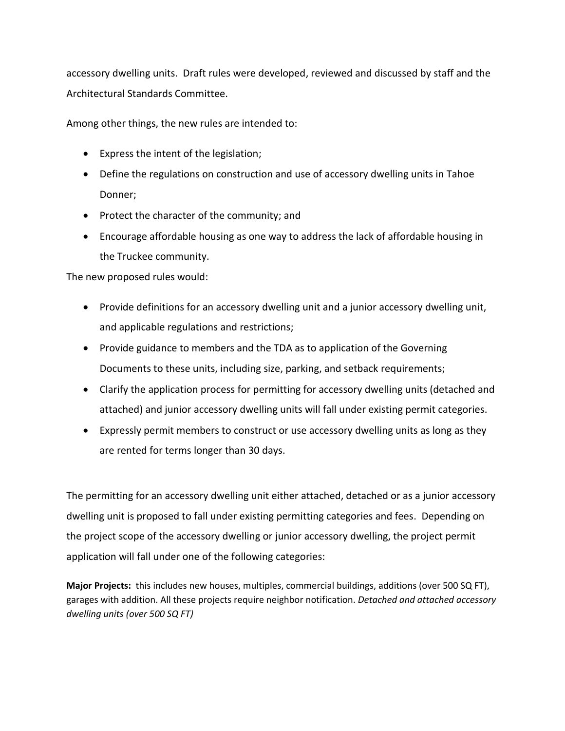accessory dwelling units. Draft rules were developed, reviewed and discussed by staff and the Architectural Standards Committee.

Among other things, the new rules are intended to:

- Express the intent of the legislation;
- Define the regulations on construction and use of accessory dwelling units in Tahoe Donner;
- Protect the character of the community; and
- Encourage affordable housing as one way to address the lack of affordable housing in the Truckee community.

The new proposed rules would:

- Provide definitions for an accessory dwelling unit and a junior accessory dwelling unit, and applicable regulations and restrictions;
- Provide guidance to members and the TDA as to application of the Governing Documents to these units, including size, parking, and setback requirements;
- Clarify the application process for permitting for accessory dwelling units (detached and attached) and junior accessory dwelling units will fall under existing permit categories.
- Expressly permit members to construct or use accessory dwelling units as long as they are rented for terms longer than 30 days.

The permitting for an accessory dwelling unit either attached, detached or as a junior accessory dwelling unit is proposed to fall under existing permitting categories and fees. Depending on the project scope of the accessory dwelling or junior accessory dwelling, the project permit application will fall under one of the following categories:

**Major Projects:** this includes new houses, multiples, commercial buildings, additions (over 500 SQ FT), garages with addition. All these projects require neighbor notification. *Detached and attached accessory dwelling units (over 500 SQ FT)*